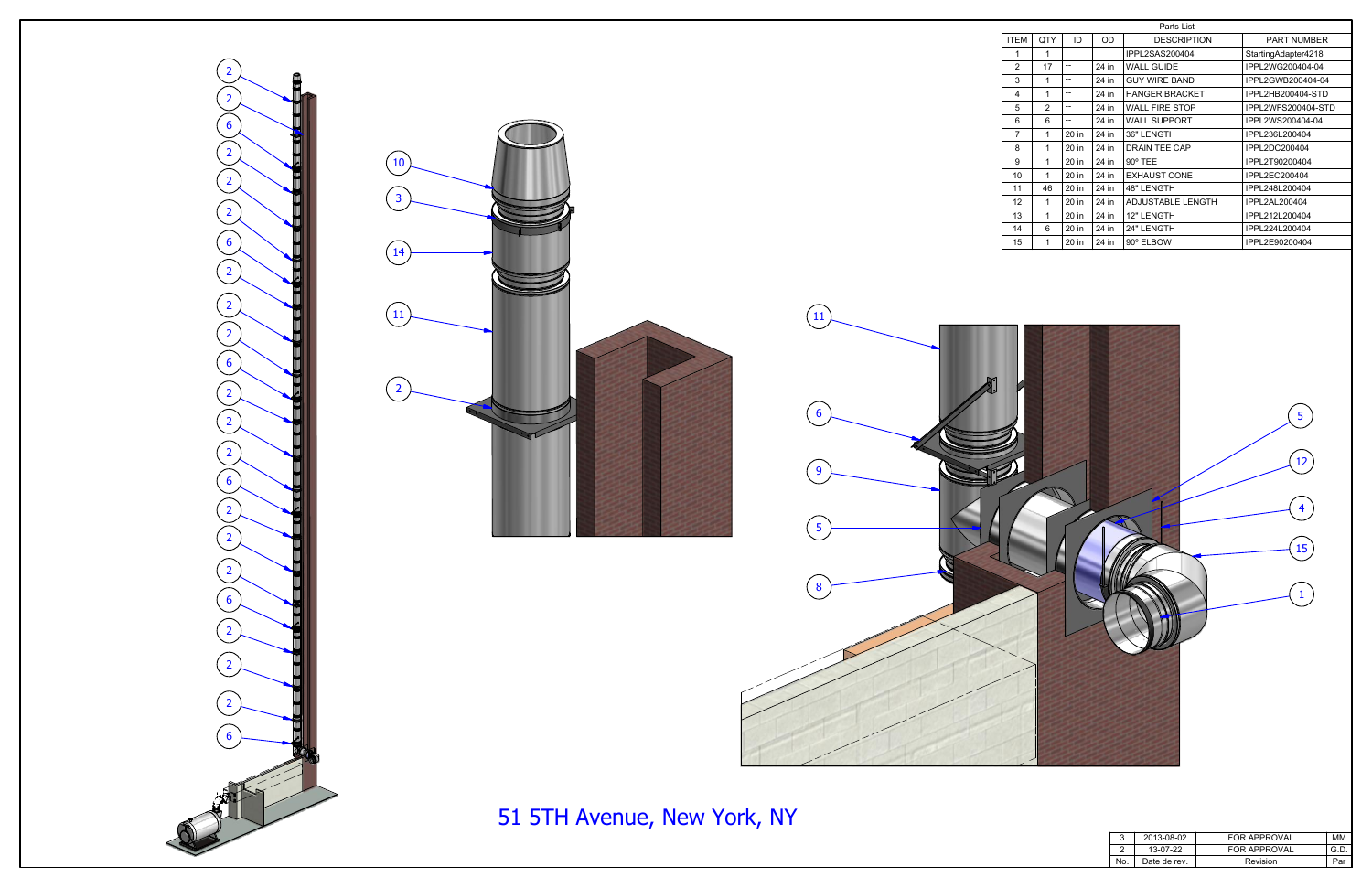| Parts List     |                |       |       |                          |                     |  |  |
|----------------|----------------|-------|-------|--------------------------|---------------------|--|--|
| <b>ITEM</b>    | QTY            | ID    | OD    | <b>DESCRIPTION</b>       | <b>PART NUMBER</b>  |  |  |
| 1              | 1              |       |       | IPPL2SAS200404           | StartingAdapter4218 |  |  |
| $\overline{2}$ | 17             | --    | 24 in | <b>WALL GUIDE</b>        | IPPL2WG200404-04    |  |  |
| 3              | 1              | --    | 24 in | <b>GUY WIRE BAND</b>     | IPPL2GWB200404-04   |  |  |
| 4              | 1              | --    | 24 in | <b>HANGER BRACKET</b>    | IPPL2HB200404-STD   |  |  |
| 5              | $\overline{2}$ | --    | 24 in | <b>WALL FIRE STOP</b>    | IPPL2WFS200404-STD  |  |  |
| 6              | 6              | --    | 24 in | <b>WALL SUPPORT</b>      | IPPL2WS200404-04    |  |  |
| 7              | 1              | 20 in | 24 in | 36" LENGTH               | IPPL236L200404      |  |  |
| 8              | 1              | 20 in | 24 in | <b>DRAIN TEE CAP</b>     | IPPL2DC200404       |  |  |
| 9              | 1              | 20 in | 24 in | $90^\circ$ TEE           | IPPL2T90200404      |  |  |
| 10             | 1              | 20 in | 24 in | <b>EXHAUST CONE</b>      | IPPL2EC200404       |  |  |
| 11             | 46             | 20 in | 24 in | 48" LENGTH               | IPPL248L200404      |  |  |
| 12             | 1              | 20 in | 24 in | <b>ADJUSTABLE LENGTH</b> | IPPL2AL200404       |  |  |
| 13             | 1              | 20 in | 24 in | 12" LENGTH               | IPPL212L200404      |  |  |
| 14             | 6              | 20 in | 24 in | 24" LENGTH               | IPPL224L200404      |  |  |
| 15             | 1              | 20 in | 24 in | 90° ELBOW                | IPPL2E90200404      |  |  |



|     | 2013-08-02   | <b>FOR APPROVAL</b> | мм  |
|-----|--------------|---------------------|-----|
|     | 13-07-22     | FOR APPROVAL        | G D |
| No. | Date de rev. | Revision            |     |